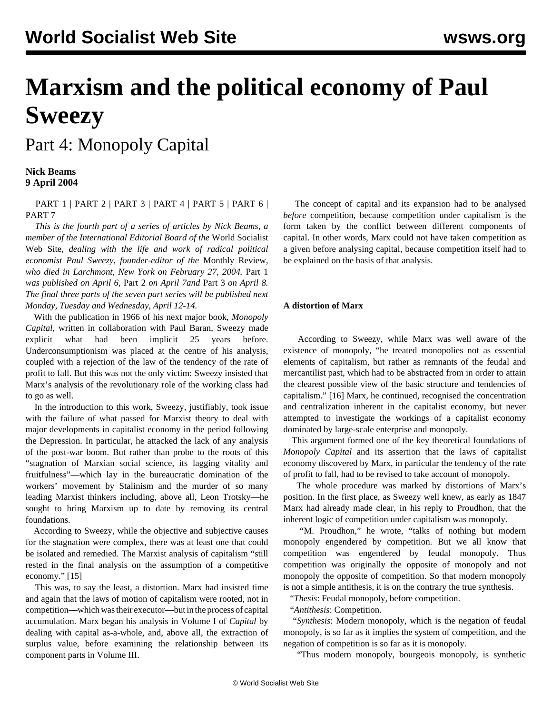## **Marxism and the political economy of Paul Sweezy**

Part 4: Monopoly Capital

## **Nick Beams 9 April 2004**

 [PART 1](/en/articles/2004/04/ps1-a06.html) | [PART 2](/en/articles/2004/04/ps2-a07.html) | [PART 3](/en/articles/2004/04/ps3-a08.html) | [PART 4](/en/articles/2004/04/ps4-a09.html) | [PART 5](/en/articles/2004/04/ps5-a12.html) | [PART 6](/en/articles/2004/04/ps6-a13.html) | [PART 7](/en/articles/2004/04/ps7-a14.html)

 *This is the fourth part of a series of articles by Nick Beams, a member of the International Editorial Board of the* World Socialist Web Site*, dealing with the life and work of radical political economist Paul Sweezy, founder-editor of the* Monthly Review*, who died in Larchmont, New York on February 27, 2004.* [Part 1](/en/articles/2004/04/ps1-a06.html) *was published on April 6,* [Part 2](/en/articles/2004/04/ps2-a07.html) *on April 7and* [Part 3](/en/articles/2004/04/ps3-a08.html) *on April 8. The final three parts of the seven part series will be published next Monday, Tuesday and Wednesday, April 12-14.*

 With the publication in 1966 of his next major book, *Monopoly Capital*, written in collaboration with Paul Baran, Sweezy made explicit what had been implicit 25 years before. Underconsumptionism was placed at the centre of his analysis, coupled with a rejection of the law of the tendency of the rate of profit to fall. But this was not the only victim: Sweezy insisted that Marx's analysis of the revolutionary role of the working class had to go as well.

 In the introduction to this work, Sweezy, justifiably, took issue with the failure of what passed for Marxist theory to deal with major developments in capitalist economy in the period following the Depression. In particular, he attacked the lack of any analysis of the post-war boom. But rather than probe to the roots of this "stagnation of Marxian social science, its lagging vitality and fruitfulness"—which lay in the bureaucratic domination of the workers' movement by Stalinism and the murder of so many leading Marxist thinkers including, above all, Leon Trotsky—he sought to bring Marxism up to date by removing its central foundations.

 According to Sweezy, while the objective and subjective causes for the stagnation were complex, there was at least one that could be isolated and remedied. The Marxist analysis of capitalism "still rested in the final analysis on the assumption of a competitive economy." [15]

 This was, to say the least, a distortion. Marx had insisted time and again that the laws of motion of capitalism were rooted, not in competition—which was their executor—but in the process of capital accumulation. Marx began his analysis in Volume I of *Capital* by dealing with capital as-a-whole, and, above all, the extraction of surplus value, before examining the relationship between its component parts in Volume III.

 The concept of capital and its expansion had to be analysed *before* competition, because competition under capitalism is the form taken by the conflict between different components of capital. In other words, Marx could not have taken competition as a given before analysing capital, because competition itself had to be explained on the basis of that analysis.

## **A distortion of Marx**

 According to Sweezy, while Marx was well aware of the existence of monopoly, "he treated monopolies not as essential elements of capitalism, but rather as remnants of the feudal and mercantilist past, which had to be abstracted from in order to attain the clearest possible view of the basic structure and tendencies of capitalism." [16] Marx, he continued, recognised the concentration and centralization inherent in the capitalist economy, but never attempted to investigate the workings of a capitalist economy dominated by large-scale enterprise and monopoly.

 This argument formed one of the key theoretical foundations of *Monopoly Capital* and its assertion that the laws of capitalist economy discovered by Marx, in particular the tendency of the rate of profit to fall, had to be revised to take account of monopoly.

 The whole procedure was marked by distortions of Marx's position. In the first place, as Sweezy well knew, as early as 1847 Marx had already made clear, in his reply to Proudhon, that the inherent logic of competition under capitalism was monopoly.

 "M. Proudhon," he wrote, "talks of nothing but modern monopoly engendered by competition. But we all know that competition was engendered by feudal monopoly. Thus competition was originally the opposite of monopoly and not monopoly the opposite of competition. So that modern monopoly is not a simple antithesis, it is on the contrary the true synthesis.

"*Thesis*: Feudal monopoly, before competition.

"*Antithesis*: Competition.

 "*Synthesis*: Modern monopoly, which is the negation of feudal monopoly, is so far as it implies the system of competition, and the negation of competition is so far as it is monopoly.

"Thus modern monopoly, bourgeois monopoly, is synthetic